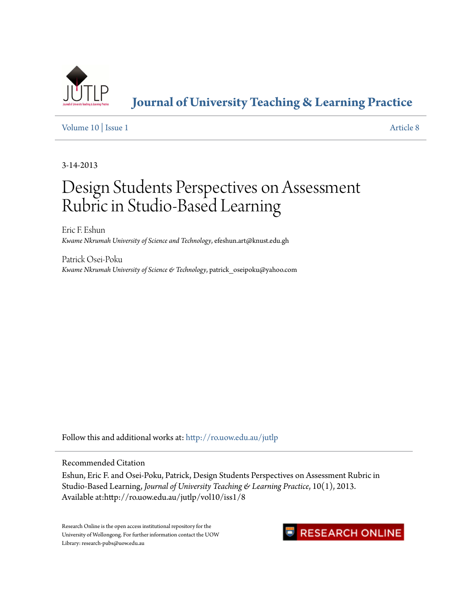

**[Journal of University Teaching & Learning Practice](http://ro.uow.edu.au/jutlp?utm_source=ro.uow.edu.au%2Fjutlp%2Fvol10%2Fiss1%2F8&utm_medium=PDF&utm_campaign=PDFCoverPages)**

[Volume 10](http://ro.uow.edu.au/jutlp/vol10?utm_source=ro.uow.edu.au%2Fjutlp%2Fvol10%2Fiss1%2F8&utm_medium=PDF&utm_campaign=PDFCoverPages) | [Issue 1](http://ro.uow.edu.au/jutlp/vol10/iss1?utm_source=ro.uow.edu.au%2Fjutlp%2Fvol10%2Fiss1%2F8&utm_medium=PDF&utm_campaign=PDFCoverPages) [Article 8](http://ro.uow.edu.au/jutlp/vol10/iss1/8?utm_source=ro.uow.edu.au%2Fjutlp%2Fvol10%2Fiss1%2F8&utm_medium=PDF&utm_campaign=PDFCoverPages)

3-14-2013

# Design Students Perspectives on Assessment Rubric in Studio-Based Learning

Eric F. Eshun *Kwame Nkrumah University of Science and Technology*, efeshun.art@knust.edu.gh

Patrick Osei-Poku *Kwame Nkrumah University of Science & Technology*, patrick\_oseipoku@yahoo.com

Follow this and additional works at: [http://ro.uow.edu.au/jutlp](http://ro.uow.edu.au/jutlp?utm_source=ro.uow.edu.au%2Fjutlp%2Fvol10%2Fiss1%2F8&utm_medium=PDF&utm_campaign=PDFCoverPages)

Recommended Citation

Eshun, Eric F. and Osei-Poku, Patrick, Design Students Perspectives on Assessment Rubric in Studio-Based Learning, *Journal of University Teaching & Learning Practice*, 10(1), 2013. Available at:http://ro.uow.edu.au/jutlp/vol10/iss1/8

Research Online is the open access institutional repository for the University of Wollongong. For further information contact the UOW Library: research-pubs@uow.edu.au

## **RESEARCH ONLINE**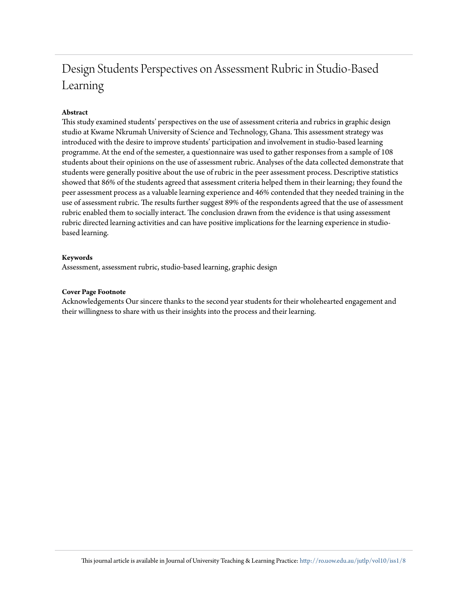## Design Students Perspectives on Assessment Rubric in Studio-Based Learning

### **Abstract**

This study examined students' perspectives on the use of assessment criteria and rubrics in graphic design studio at Kwame Nkrumah University of Science and Technology, Ghana. This assessment strategy was introduced with the desire to improve students' participation and involvement in studio-based learning programme. At the end of the semester, a questionnaire was used to gather responses from a sample of 108 students about their opinions on the use of assessment rubric. Analyses of the data collected demonstrate that students were generally positive about the use of rubric in the peer assessment process. Descriptive statistics showed that 86% of the students agreed that assessment criteria helped them in their learning; they found the peer assessment process as a valuable learning experience and 46% contended that they needed training in the use of assessment rubric. The results further suggest 89% of the respondents agreed that the use of assessment rubric enabled them to socially interact. The conclusion drawn from the evidence is that using assessment rubric directed learning activities and can have positive implications for the learning experience in studiobased learning.

#### **Keywords**

Assessment, assessment rubric, studio-based learning, graphic design

#### **Cover Page Footnote**

Acknowledgements Our sincere thanks to the second year students for their wholehearted engagement and their willingness to share with us their insights into the process and their learning.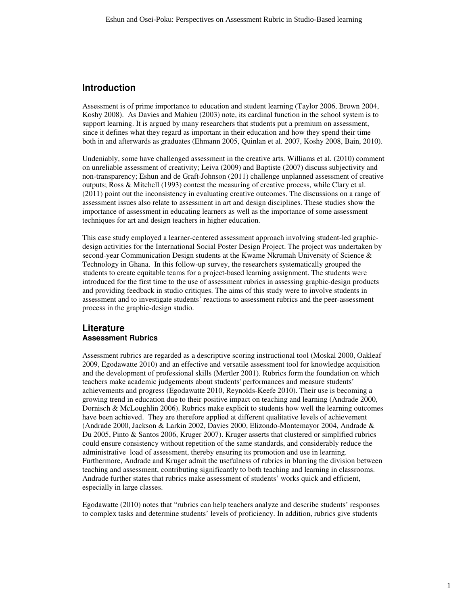## **Introduction**

Assessment is of prime importance to education and student learning (Taylor 2006, Brown 2004, Koshy 2008). As Davies and Mahieu (2003) note, its cardinal function in the school system is to support learning. It is argued by many researchers that students put a premium on assessment, since it defines what they regard as important in their education and how they spend their time both in and afterwards as graduates (Ehmann 2005, Quinlan et al. 2007, Koshy 2008, Bain, 2010).

Undeniably, some have challenged assessment in the creative arts. Williams et al. (2010) comment on unreliable assessment of creativity; Leiva (2009) and Baptiste (2007) discuss subjectivity and non-transparency; Eshun and de Graft-Johnson (2011) challenge unplanned assessment of creative outputs; Ross & Mitchell (1993) contest the measuring of creative process, while Clary et al. (2011) point out the inconsistency in evaluating creative outcomes. The discussions on a range of assessment issues also relate to assessment in art and design disciplines. These studies show the importance of assessment in educating learners as well as the importance of some assessment techniques for art and design teachers in higher education.

This case study employed a learner-centered assessment approach involving student-led graphicdesign activities for the International Social Poster Design Project. The project was undertaken by second-year Communication Design students at the Kwame Nkrumah University of Science & Technology in Ghana. In this follow-up survey, the researchers systematically grouped the students to create equitable teams for a project-based learning assignment. The students were introduced for the first time to the use of assessment rubrics in assessing graphic-design products and providing feedback in studio critiques. The aims of this study were to involve students in assessment and to investigate students' reactions to assessment rubrics and the peer-assessment process in the graphic-design studio.

#### **Literature Assessment Rubrics**

Assessment rubrics are regarded as a descriptive scoring instructional tool (Moskal 2000, Oakleaf 2009, Egodawatte 2010) and an effective and versatile assessment tool for knowledge acquisition and the development of professional skills (Mertler 2001). Rubrics form the foundation on which teachers make academic judgements about students' performances and measure students' achievements and progress (Egodawatte 2010, Reynolds-Keefe 2010). Their use is becoming a growing trend in education due to their positive impact on teaching and learning (Andrade 2000, Dornisch & McLoughlin 2006). Rubrics make explicit to students how well the learning outcomes have been achieved. They are therefore applied at different qualitative levels of achievement (Andrade 2000, Jackson & Larkin 2002, Davies 2000, Elizondo-Montemayor 2004, Andrade & Du 2005, Pinto & Santos 2006, Kruger 2007). Kruger asserts that clustered or simplified rubrics could ensure consistency without repetition of the same standards, and considerably reduce the administrative load of assessment, thereby ensuring its promotion and use in learning. Furthermore, Andrade and Kruger admit the usefulness of rubrics in blurring the division between teaching and assessment, contributing significantly to both teaching and learning in classrooms. Andrade further states that rubrics make assessment of students' works quick and efficient, especially in large classes.

Egodawatte (2010) notes that "rubrics can help teachers analyze and describe students' responses to complex tasks and determine students' levels of proficiency. In addition, rubrics give students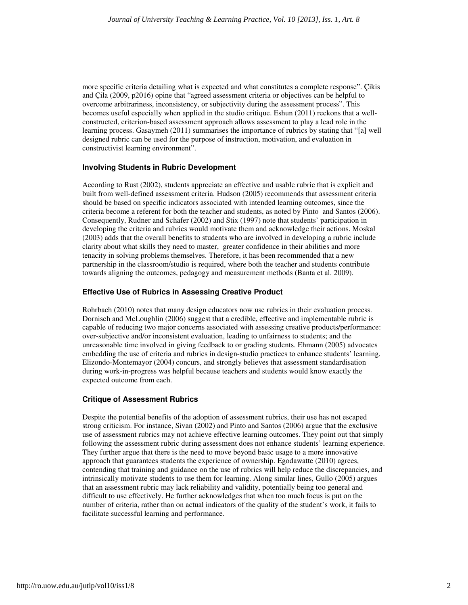more specific criteria detailing what is expected and what constitutes a complete response". Çikis and Çila (2009, p2016) opine that "agreed assessment criteria or objectives can be helpful to overcome arbitrariness, inconsistency, or subjectivity during the assessment process". This becomes useful especially when applied in the studio critique. Eshun (2011) reckons that a wellconstructed, criterion-based assessment approach allows assessment to play a lead role in the learning process. Gasaymeh (2011) summarises the importance of rubrics by stating that "[a] well designed rubric can be used for the purpose of instruction, motivation, and evaluation in constructivist learning environment".

#### **Involving Students in Rubric Development**

According to Rust (2002), students appreciate an effective and usable rubric that is explicit and built from well-defined assessment criteria. Hudson (2005) recommends that assessment criteria should be based on specific indicators associated with intended learning outcomes, since the criteria become a referent for both the teacher and students, as noted by Pinto and Santos (2006). Consequently, Rudner and Schafer (2002) and Stix (1997) note that students' participation in developing the criteria and rubrics would motivate them and acknowledge their actions. Moskal (2003) adds that the overall benefits to students who are involved in developing a rubric include clarity about what skills they need to master, greater confidence in their abilities and more tenacity in solving problems themselves. Therefore, it has been recommended that a new partnership in the classroom/studio is required, where both the teacher and students contribute towards aligning the outcomes, pedagogy and measurement methods (Banta et al. 2009).

#### **Effective Use of Rubrics in Assessing Creative Product**

Rohrbach (2010) notes that many design educators now use rubrics in their evaluation process. Dornisch and McLoughlin (2006) suggest that a credible, effective and implementable rubric is capable of reducing two major concerns associated with assessing creative products/performance: over-subjective and/or inconsistent evaluation, leading to unfairness to students; and the unreasonable time involved in giving feedback to or grading students. Ehmann (2005) advocates embedding the use of criteria and rubrics in design-studio practices to enhance students' learning. Elizondo-Montemayor (2004) concurs, and strongly believes that assessment standardisation during work-in-progress was helpful because teachers and students would know exactly the expected outcome from each.

#### **Critique of Assessment Rubrics**

Despite the potential benefits of the adoption of assessment rubrics, their use has not escaped strong criticism. For instance, Sivan (2002) and Pinto and Santos (2006) argue that the exclusive use of assessment rubrics may not achieve effective learning outcomes. They point out that simply following the assessment rubric during assessment does not enhance students' learning experience. They further argue that there is the need to move beyond basic usage to a more innovative approach that guarantees students the experience of ownership. Egodawatte (2010) agrees, contending that training and guidance on the use of rubrics will help reduce the discrepancies, and intrinsically motivate students to use them for learning. Along similar lines, Gullo (2005) argues that an assessment rubric may lack reliability and validity, potentially being too general and difficult to use effectively. He further acknowledges that when too much focus is put on the number of criteria, rather than on actual indicators of the quality of the student's work, it fails to facilitate successful learning and performance.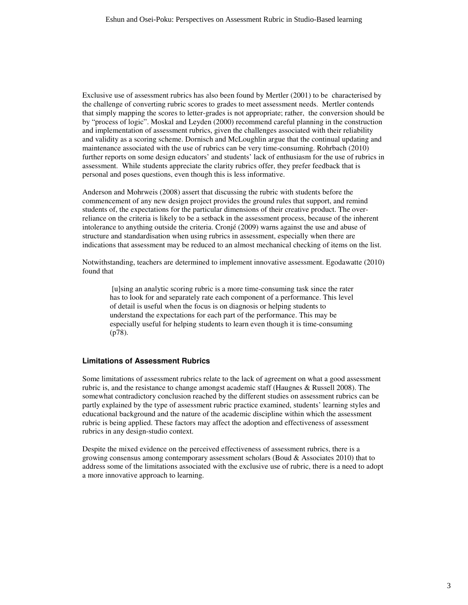Exclusive use of assessment rubrics has also been found by Mertler (2001) to be characterised by the challenge of converting rubric scores to grades to meet assessment needs. Mertler contends that simply mapping the scores to letter-grades is not appropriate; rather, the conversion should be by "process of logic". Moskal and Leyden (2000) recommend careful planning in the construction and implementation of assessment rubrics, given the challenges associated with their reliability and validity as a scoring scheme. Dornisch and McLoughlin argue that the continual updating and maintenance associated with the use of rubrics can be very time-consuming. Rohrbach (2010) further reports on some design educators' and students' lack of enthusiasm for the use of rubrics in assessment. While students appreciate the clarity rubrics offer, they prefer feedback that is personal and poses questions, even though this is less informative.

Anderson and Mohrweis (2008) assert that discussing the rubric with students before the commencement of any new design project provides the ground rules that support, and remind students of, the expectations for the particular dimensions of their creative product. The overreliance on the criteria is likely to be a setback in the assessment process, because of the inherent intolerance to anything outside the criteria. Cronjé (2009) warns against the use and abuse of structure and standardisation when using rubrics in assessment, especially when there are indications that assessment may be reduced to an almost mechanical checking of items on the list.

Notwithstanding, teachers are determined to implement innovative assessment. Egodawatte (2010) found that

 [u]sing an analytic scoring rubric is a more time-consuming task since the rater has to look for and separately rate each component of a performance. This level of detail is useful when the focus is on diagnosis or helping students to understand the expectations for each part of the performance. This may be especially useful for helping students to learn even though it is time-consuming (p78).

#### **Limitations of Assessment Rubrics**

Some limitations of assessment rubrics relate to the lack of agreement on what a good assessment rubric is, and the resistance to change amongst academic staff (Haugnes & Russell 2008). The somewhat contradictory conclusion reached by the different studies on assessment rubrics can be partly explained by the type of assessment rubric practice examined, students' learning styles and educational background and the nature of the academic discipline within which the assessment rubric is being applied. These factors may affect the adoption and effectiveness of assessment rubrics in any design-studio context.

Despite the mixed evidence on the perceived effectiveness of assessment rubrics, there is a growing consensus among contemporary assessment scholars (Boud  $\&$  Associates 2010) that to address some of the limitations associated with the exclusive use of rubric, there is a need to adopt a more innovative approach to learning.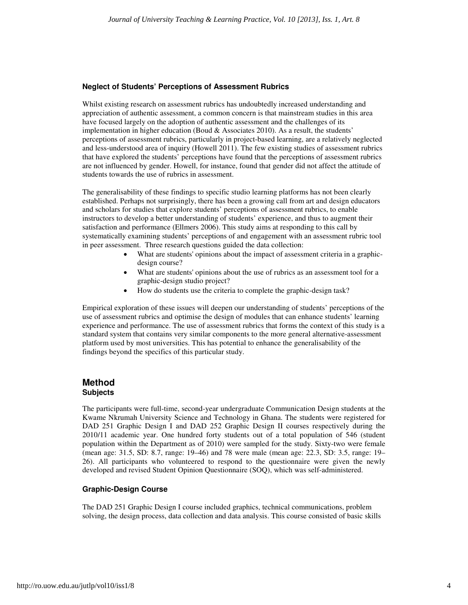#### **Neglect of Students' Perceptions of Assessment Rubrics**

Whilst existing research on assessment rubrics has undoubtedly increased understanding and appreciation of authentic assessment, a common concern is that mainstream studies in this area have focused largely on the adoption of authentic assessment and the challenges of its implementation in higher education (Boud  $&$  Associates 2010). As a result, the students' perceptions of assessment rubrics, particularly in project-based learning, are a relatively neglected and less-understood area of inquiry (Howell 2011). The few existing studies of assessment rubrics that have explored the students' perceptions have found that the perceptions of assessment rubrics are not influenced by gender. Howell, for instance, found that gender did not affect the attitude of students towards the use of rubrics in assessment.

The generalisability of these findings to specific studio learning platforms has not been clearly established. Perhaps not surprisingly, there has been a growing call from art and design educators and scholars for studies that explore students' perceptions of assessment rubrics, to enable instructors to develop a better understanding of students' experience, and thus to augment their satisfaction and performance (Ellmers 2006). This study aims at responding to this call by systematically examining students' perceptions of and engagement with an assessment rubric tool in peer assessment. Three research questions guided the data collection:

- What are students' opinions about the impact of assessment criteria in a graphicdesign course?
- What are students' opinions about the use of rubrics as an assessment tool for a graphic-design studio project?
- How do students use the criteria to complete the graphic-design task?

Empirical exploration of these issues will deepen our understanding of students' perceptions of the use of assessment rubrics and optimise the design of modules that can enhance students' learning experience and performance. The use of assessment rubrics that forms the context of this study is a standard system that contains very similar components to the more general alternative-assessment platform used by most universities. This has potential to enhance the generalisability of the findings beyond the specifics of this particular study.

#### **Method Subjects**

The participants were full-time, second-year undergraduate Communication Design students at the Kwame Nkrumah University Science and Technology in Ghana. The students were registered for DAD 251 Graphic Design I and DAD 252 Graphic Design II courses respectively during the 2010/11 academic year. One hundred forty students out of a total population of 546 (student population within the Department as of 2010) were sampled for the study. Sixty-two were female (mean age: 31.5, SD: 8.7, range: 19–46) and 78 were male (mean age: 22.3, SD: 3.5, range: 19– 26). All participants who volunteered to respond to the questionnaire were given the newly developed and revised Student Opinion Questionnaire (SOQ), which was self-administered.

#### **Graphic-Design Course**

The DAD 251 Graphic Design I course included graphics, technical communications, problem solving, the design process, data collection and data analysis. This course consisted of basic skills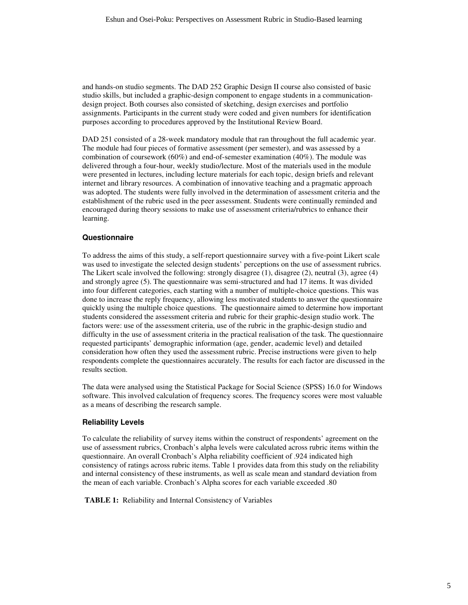and hands-on studio segments. The DAD 252 Graphic Design II course also consisted of basic studio skills, but included a graphic-design component to engage students in a communicationdesign project. Both courses also consisted of sketching, design exercises and portfolio assignments. Participants in the current study were coded and given numbers for identification purposes according to procedures approved by the Institutional Review Board.

DAD 251 consisted of a 28-week mandatory module that ran throughout the full academic year. The module had four pieces of formative assessment (per semester), and was assessed by a combination of coursework (60%) and end-of-semester examination (40%). The module was delivered through a four-hour, weekly studio/lecture. Most of the materials used in the module were presented in lectures, including lecture materials for each topic, design briefs and relevant internet and library resources. A combination of innovative teaching and a pragmatic approach was adopted. The students were fully involved in the determination of assessment criteria and the establishment of the rubric used in the peer assessment. Students were continually reminded and encouraged during theory sessions to make use of assessment criteria/rubrics to enhance their learning.

## **Questionnaire**

To address the aims of this study, a self-report questionnaire survey with a five-point Likert scale was used to investigate the selected design students' perceptions on the use of assessment rubrics. The Likert scale involved the following: strongly disagree (1), disagree (2), neutral (3), agree (4) and strongly agree (5). The questionnaire was semi-structured and had 17 items. It was divided into four different categories, each starting with a number of multiple-choice questions. This was done to increase the reply frequency, allowing less motivated students to answer the questionnaire quickly using the multiple choice questions. The questionnaire aimed to determine how important students considered the assessment criteria and rubric for their graphic-design studio work. The factors were: use of the assessment criteria, use of the rubric in the graphic-design studio and difficulty in the use of assessment criteria in the practical realisation of the task. The questionnaire requested participants' demographic information (age, gender, academic level) and detailed consideration how often they used the assessment rubric. Precise instructions were given to help respondents complete the questionnaires accurately. The results for each factor are discussed in the results section.

The data were analysed using the Statistical Package for Social Science (SPSS) 16.0 for Windows software. This involved calculation of frequency scores. The frequency scores were most valuable as a means of describing the research sample.

#### **Reliability Levels**

To calculate the reliability of survey items within the construct of respondents' agreement on the use of assessment rubrics, Cronbach's alpha levels were calculated across rubric items within the questionnaire. An overall Cronbach's Alpha reliability coefficient of .924 indicated high consistency of ratings across rubric items. Table 1 provides data from this study on the reliability and internal consistency of these instruments, as well as scale mean and standard deviation from the mean of each variable. Cronbach's Alpha scores for each variable exceeded .80

**TABLE 1:** Reliability and Internal Consistency of Variables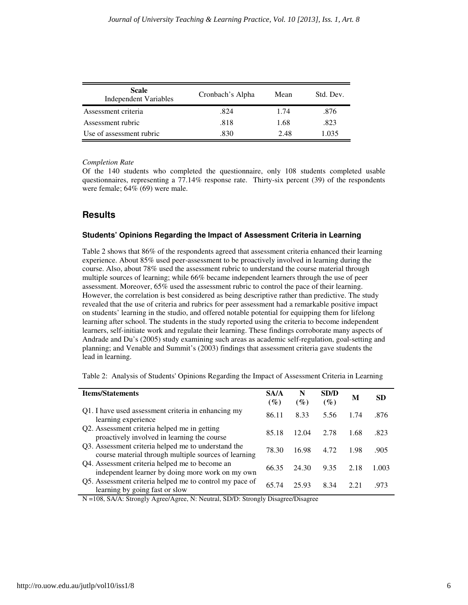| <b>Scale</b><br><b>Independent Variables</b> | Cronbach's Alpha | Mean | Std. Dev. |
|----------------------------------------------|------------------|------|-----------|
| Assessment criteria                          | .824             | 1.74 | .876      |
| Assessment rubric                            | .818             | 1.68 | .823      |
| Use of assessment rubric                     | .830             | 2.48 | 1.035     |

*Completion Rate* 

Of the 140 students who completed the questionnaire, only 108 students completed usable questionnaires, representing a 77.14% response rate. Thirty-six percent (39) of the respondents were female; 64% (69) were male.

## **Results**

#### **Students' Opinions Regarding the Impact of Assessment Criteria in Learning**

Table 2 shows that 86% of the respondents agreed that assessment criteria enhanced their learning experience. About 85% used peer-assessment to be proactively involved in learning during the course. Also, about 78% used the assessment rubric to understand the course material through multiple sources of learning; while 66% became independent learners through the use of peer assessment. Moreover, 65% used the assessment rubric to control the pace of their learning. However, the correlation is best considered as being descriptive rather than predictive. The study revealed that the use of criteria and rubrics for peer assessment had a remarkable positive impact on students' learning in the studio, and offered notable potential for equipping them for lifelong learning after school. The students in the study reported using the criteria to become independent learners, self-initiate work and regulate their learning. These findings corroborate many aspects of Andrade and Du's (2005) study examining such areas as academic self-regulation, goal-setting and planning; and Venable and Summit's (2003) findings that assessment criteria gave students the lead in learning.

Table 2: Analysis of Students' Opinions Regarding the Impact of Assessment Criteria in Learning

| <b>Items/Statements</b>                                                                                     | <b>SA/A</b><br>$(\%)$ | N<br>$(\%)$ | SD/D<br>$(\%)$ | M    | SD.   |
|-------------------------------------------------------------------------------------------------------------|-----------------------|-------------|----------------|------|-------|
| Q1. I have used assessment criteria in enhancing my<br>learning experience                                  | 86.11                 | 8.33        | 5.56           | 1.74 | .876  |
| Q2. Assessment criteria helped me in getting<br>proactively involved in learning the course                 | 85.18                 | 12.04       | 2.78           | 1.68 | .823  |
| Q3. Assessment criteria helped me to understand the<br>course material through multiple sources of learning | 78.30                 | 16.98       | 4.72           | 1.98 | .905  |
| Q4. Assessment criteria helped me to become an<br>independent learner by doing more work on my own          | 66.35                 | 24.30       | 9.35           | 2.18 | 1.003 |
| Q5. Assessment criteria helped me to control my pace of<br>learning by going fast or slow                   | 65.74                 | 25.93       | 8.34           | 2.21 | .973  |

N =108, SA/A: Strongly Agree/Agree, N: Neutral, SD/D: Strongly Disagree/Disagree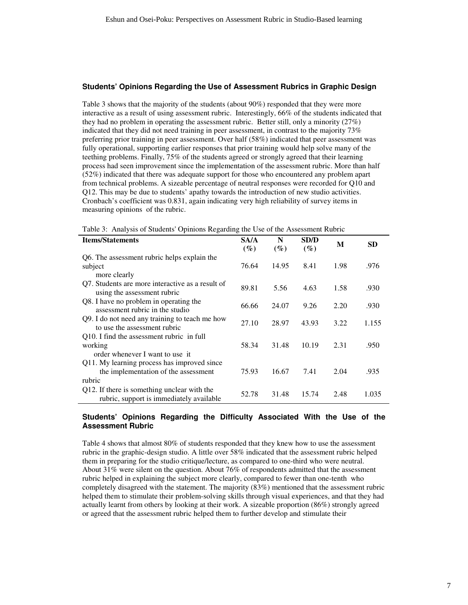#### **Students' Opinions Regarding the Use of Assessment Rubrics in Graphic Design**

Table 3 shows that the majority of the students (about 90%) responded that they were more interactive as a result of using assessment rubric. Interestingly, 66% of the students indicated that they had no problem in operating the assessment rubric.Better still, only a minority (27%) indicated that they did not need training in peer assessment, in contrast to the majority 73% preferring prior training in peer assessment. Over half (58%) indicated that peer assessment was fully operational, supporting earlier responses that prior training would help solve many of the teething problems. Finally, 75% of the students agreed or strongly agreed that their learning process had seen improvement since the implementation of the assessment rubric. More than half (52%) indicated that there was adequate support for those who encountered any problem apart from technical problems. A sizeable percentage of neutral responses were recorded for Q10 and Q12. This may be due to students' apathy towards the introduction of new studio activities. Cronbach's coefficient was 0.831, again indicating very high reliability of survey items in measuring opinions of the rubric.

Table 3: Analysis of Students' Opinions Regarding the Use of the Assessment Rubric

| <b>Items/Statements</b>                                                                 | SA/A<br>$(\%)$ | N<br>$(\%)$ | SD/D<br>$(\%)$ | M    | SD    |
|-----------------------------------------------------------------------------------------|----------------|-------------|----------------|------|-------|
| Q6. The assessment rubric helps explain the                                             |                |             |                |      |       |
| subject<br>more clearly                                                                 | 76.64          | 14.95       | 8.41           | 1.98 | .976  |
| Q7. Students are more interactive as a result of<br>using the assessment rubric         | 89.81          | 5.56        | 4.63           | 1.58 | .930  |
| Q8. I have no problem in operating the<br>assessment rubric in the studio               | 66.66          | 24.07       | 9.26           | 2.20 | .930  |
| Q9. I do not need any training to teach me how<br>to use the assessment rubric          | 27.10          | 28.97       | 43.93          | 3.22 | 1.155 |
| Q10. I find the assessment rubric in full<br>working<br>order whenever I want to use it | 58.34          | 31.48       | 10.19          | 2.31 | .950  |
| Q11. My learning process has improved since<br>the implementation of the assessment     | 75.93          | 16.67       | 7.41           | 2.04 | .935  |
| rubric                                                                                  |                |             |                |      |       |
| Q12. If there is something unclear with the<br>rubric, support is immediately available | 52.78          | 31.48       | 15.74          | 2.48 | 1.035 |

#### **Students' Opinions Regarding the Difficulty Associated With the Use of the Assessment Rubric**

Table 4 shows that almost 80% of students responded that they knew how to use the assessment rubric in the graphic-design studio. A little over 58% indicated that the assessment rubric helped them in preparing for the studio critique/lecture, as compared to one-third who were neutral. About 31% were silent on the question. About 76% of respondents admitted that the assessment rubric helped in explaining the subject more clearly, compared to fewer than one-tenth who completely disagreed with the statement. The majority (83%) mentioned that the assessment rubric helped them to stimulate their problem-solving skills through visual experiences, and that they had actually learnt from others by looking at their work. A sizeable proportion (86%) strongly agreed or agreed that the assessment rubric helped them to further develop and stimulate their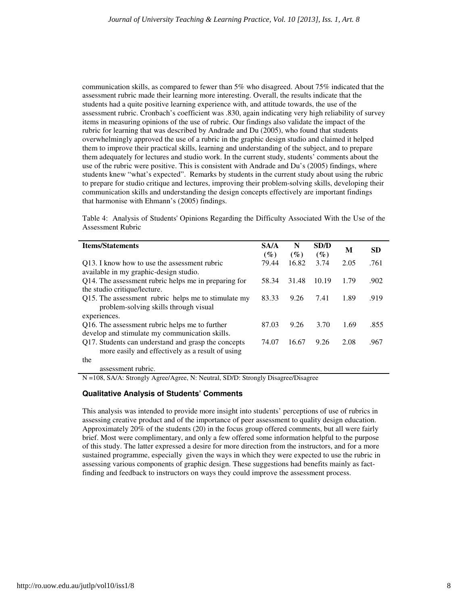communication skills, as compared to fewer than 5% who disagreed. About 75% indicated that the assessment rubric made their learning more interesting. Overall, the results indicate that the students had a quite positive learning experience with, and attitude towards, the use of the assessment rubric. Cronbach's coefficient was .830, again indicating very high reliability of survey items in measuring opinions of the use of rubric. Our findings also validate the impact of the rubric for learning that was described by Andrade and Du (2005), who found that students overwhelmingly approved the use of a rubric in the graphic design studio and claimed it helped them to improve their practical skills, learning and understanding of the subject, and to prepare them adequately for lectures and studio work. In the current study, students' comments about the use of the rubric were positive. This is consistent with Andrade and Du's (2005) findings, where students knew "what's expected". Remarks by students in the current study about using the rubric to prepare for studio critique and lectures, improving their problem-solving skills, developing their communication skills and understanding the design concepts effectively are important findings that harmonise with Ehmann's (2005) findings.

Table 4: Analysis of Students' Opinions Regarding the Difficulty Associated With the Use of the Assessment Rubric

| <b>Items/Statements</b>                                                                                 | <b>SA/A</b><br>$(\%)$ | N<br>$(\%)$ | SD/D<br>$(\%)$ | M    | <b>SD</b> |
|---------------------------------------------------------------------------------------------------------|-----------------------|-------------|----------------|------|-----------|
| Q13. I know how to use the assessment rubric                                                            | 79.44                 | 16.82       | 3.74           | 2.05 | .761      |
| available in my graphic-design studio.<br>Q14. The assessment rubric helps me in preparing for          | 58.34                 | 31.48       | 10.19          | 1.79 | .902      |
| the studio critique/lecture.<br>Q15. The assessment rubric helps me to stimulate my                     | 83.33                 | 9.26        | 7.41           | 1.89 | .919      |
| problem-solving skills through visual                                                                   |                       |             |                |      |           |
| experiences.                                                                                            |                       |             |                |      |           |
| Q16. The assessment rubric helps me to further<br>develop and stimulate my communication skills.        | 87.03                 | 9.26        | 3.70           | 1.69 | .855      |
| Q17. Students can understand and grasp the concepts<br>more easily and effectively as a result of using | 74.07                 | 16.67       | 9.26           | 2.08 | .967      |
| the                                                                                                     |                       |             |                |      |           |
| assessment rubric.                                                                                      |                       |             |                |      |           |

N =108, SA/A: Strongly Agree/Agree, N: Neutral, SD/D: Strongly Disagree/Disagree

#### **Qualitative Analysis of Students' Comments**

This analysis was intended to provide more insight into students' perceptions of use of rubrics in assessing creative product and of the importance of peer assessment to quality design education. Approximately 20% of the students (20) in the focus group offered comments, but all were fairly brief. Most were complimentary, and only a few offered some information helpful to the purpose of this study. The latter expressed a desire for more direction from the instructors, and for a more sustained programme, especially given the ways in which they were expected to use the rubric in assessing various components of graphic design. These suggestions had benefits mainly as factfinding and feedback to instructors on ways they could improve the assessment process.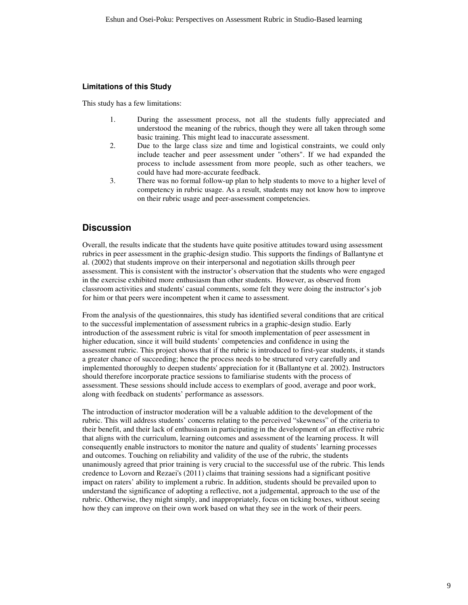#### **Limitations of this Study**

This study has a few limitations:

- 1. During the assessment process, not all the students fully appreciated and understood the meaning of the rubrics, though they were all taken through some basic training. This might lead to inaccurate assessment.
- 2. Due to the large class size and time and logistical constraints, we could only include teacher and peer assessment under "others". If we had expanded the process to include assessment from more people, such as other teachers, we could have had more-accurate feedback.
- 3. There was no formal follow-up plan to help students to move to a higher level of competency in rubric usage. As a result, students may not know how to improve on their rubric usage and peer-assessment competencies.

## **Discussion**

Overall, the results indicate that the students have quite positive attitudes toward using assessment rubrics in peer assessment in the graphic-design studio. This supports the findings of Ballantyne et al. (2002) that students improve on their interpersonal and negotiation skills through peer assessment. This is consistent with the instructor's observation that the students who were engaged in the exercise exhibited more enthusiasm than other students. However, as observed from classroom activities and students' casual comments, some felt they were doing the instructor's job for him or that peers were incompetent when it came to assessment.

From the analysis of the questionnaires, this study has identified several conditions that are critical to the successful implementation of assessment rubrics in a graphic-design studio. Early introduction of the assessment rubric is vital for smooth implementation of peer assessment in higher education, since it will build students' competencies and confidence in using the assessment rubric. This project shows that if the rubric is introduced to first-year students, it stands a greater chance of succeeding; hence the process needs to be structured very carefully and implemented thoroughly to deepen students' appreciation for it (Ballantyne et al. 2002). Instructors should therefore incorporate practice sessions to familiarise students with the process of assessment. These sessions should include access to exemplars of good, average and poor work, along with feedback on students' performance as assessors.

The introduction of instructor moderation will be a valuable addition to the development of the rubric. This will address students' concerns relating to the perceived "skewness" of the criteria to their benefit, and their lack of enthusiasm in participating in the development of an effective rubric that aligns with the curriculum, learning outcomes and assessment of the learning process. It will consequently enable instructors to monitor the nature and quality of students' learning processes and outcomes. Touching on reliability and validity of the use of the rubric, the students unanimously agreed that prior training is very crucial to the successful use of the rubric. This lends credence to Lovorn and Rezaei's (2011) claims that training sessions had a significant positive impact on raters' ability to implement a rubric. In addition, students should be prevailed upon to understand the significance of adopting a reflective, not a judgemental, approach to the use of the rubric. Otherwise, they might simply, and inappropriately, focus on ticking boxes, without seeing how they can improve on their own work based on what they see in the work of their peers.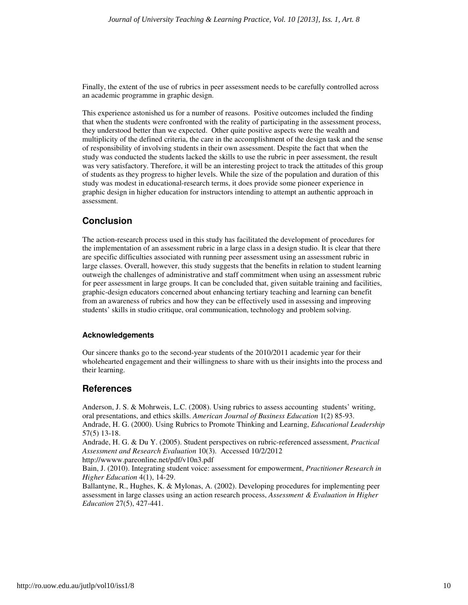Finally, the extent of the use of rubrics in peer assessment needs to be carefully controlled across an academic programme in graphic design.

This experience astonished us for a number of reasons. Positive outcomes included the finding that when the students were confronted with the reality of participating in the assessment process, they understood better than we expected. Other quite positive aspects were the wealth and multiplicity of the defined criteria, the care in the accomplishment of the design task and the sense of responsibility of involving students in their own assessment. Despite the fact that when the study was conducted the students lacked the skills to use the rubric in peer assessment, the result was very satisfactory. Therefore, it will be an interesting project to track the attitudes of this group of students as they progress to higher levels. While the size of the population and duration of this study was modest in educational-research terms, it does provide some pioneer experience in graphic design in higher education for instructors intending to attempt an authentic approach in assessment.

## **Conclusion**

The action-research process used in this study has facilitated the development of procedures for the implementation of an assessment rubric in a large class in a design studio. It is clear that there are specific difficulties associated with running peer assessment using an assessment rubric in large classes. Overall, however, this study suggests that the benefits in relation to student learning outweigh the challenges of administrative and staff commitment when using an assessment rubric for peer assessment in large groups. It can be concluded that, given suitable training and facilities, graphic-design educators concerned about enhancing tertiary teaching and learning can benefit from an awareness of rubrics and how they can be effectively used in assessing and improving students' skills in studio critique, oral communication, technology and problem solving.

#### **Acknowledgements**

Our sincere thanks go to the second-year students of the 2010/2011 academic year for their wholehearted engagement and their willingness to share with us their insights into the process and their learning.

## **References**

Anderson, J. S. & Mohrweis, L.C. (2008). Using rubrics to assess accounting students' writing, oral presentations, and ethics skills. *American Journal of Business Education* 1(2) 85-93. Andrade, H. G. (2000). Using Rubrics to Promote Thinking and Learning, *Educational Leadership* 57(5) 13-18.

Andrade, H. G. & Du Y. (2005). Student perspectives on rubric-referenced assessment, *Practical Assessment and Research Evaluation* 10(3). Accessed 10/2/2012

http://wwww.pareonline.net/pdf/v10n3.pdf Bain, J. (2010). Integrating student voice: assessment for empowerment, *Practitioner Research in* 

*Higher Education* 4(1), 14-29.

Ballantyne, R., Hughes, K. & Mylonas, A. (2002). Developing procedures for implementing peer assessment in large classes using an action research process, *Assessment & Evaluation in Higher Education* 27(5), 427-441.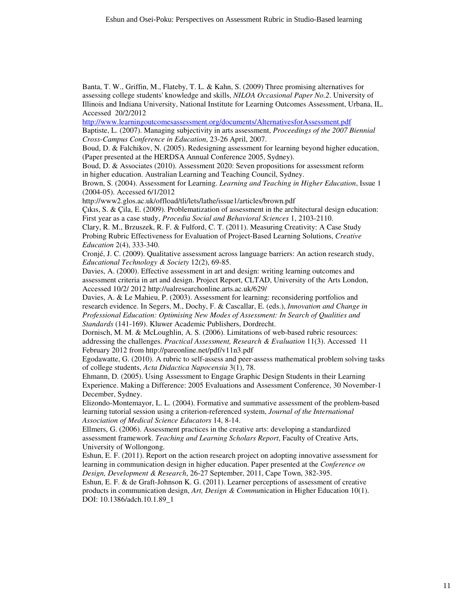Banta, T. W., Griffin, M., Flateby, T. L. & Kahn, S. (2009) Three promising alternatives for assessing college students' knowledge and skills, *NILOA Occasional Paper No.2*. University of Illinois and Indiana University, National Institute for Learning Outcomes Assessment, Urbana, IL. Accessed 20/2/2012

http://www.learningoutcomesassessment.org/documents/AlternativesforAssessment.pdf

Baptiste, L. (2007). Managing subjectivity in arts assessment, *Proceedings of the 2007 Biennial Cross-Campus Conference in Education*, 23-26 April, 2007.

Boud, D. & Falchikov, N. (2005). Redesigning assessment for learning beyond higher education, (Paper presented at the HERDSA Annual Conference 2005, Sydney).

Boud, D. & Associates (2010). Assessment 2020: Seven propositions for assessment reform in higher education. Australian Learning and Teaching Council, Sydney.

Brown, S. (2004). Assessment for Learning. *Learning and Teaching in Higher Education*, Issue 1 (2004-05). Accessed 6/1/2012

http://www2.glos.ac.uk/offload/tli/lets/lathe/issue1/articles/brown.pdf

Çıkıs, S. & Çila, E. (2009). Problematization of assessment in the architectural design education: First year as a case study, *Procedia Social and Behavioral Sciences* 1, 2103-2110.

Clary, R. M., Brzuszek, R. F. & Fulford, C. T. (2011). Measuring Creativity: A Case Study Probing Rubric Effectiveness for Evaluation of Project-Based Learning Solutions, *Creative Education* 2(4), 333-340.

Cronjé, J. C. (2009). Qualitative assessment across language barriers: An action research study, *Educational Technology & Society* 12(2), 69-85.

Davies, A. (2000). Effective assessment in art and design: writing learning outcomes and assessment criteria in art and design. Project Report, CLTAD, University of the Arts London, Accessed 10/2/ 2012 http://ualresearchonline.arts.ac.uk/629/

Davies, A. & Le Mahieu, P. (2003). Assessment for learning: reconsidering portfolios and research evidence. In Segers, M., Dochy, F. & Cascallar, E. (eds.), *Innovation and Change in Professional Education: Optimising New Modes of Assessment: In Search of Qualities and Standards* (141-169). Kluwer Academic Publishers, Dordrecht.

Dornisch, M. M. & McLoughlin, A. S. (2006). Limitations of web-based rubric resources: addressing the challenges. *Practical Assessment, Research & Evaluation* 11(3). Accessed 11 February 2012 from http://pareonline.net/pdf/v11n3.pdf

Egodawatte, G. (2010). A rubric to self-assess and peer-assess mathematical problem solving tasks of college students, *Acta Didactica Napocensia* 3(1), 78.

Ehmann, D. (2005). Using Assessment to Engage Graphic Design Students in their Learning Experience. Making a Difference: 2005 Evaluations and Assessment Conference, 30 November-1 December, Sydney.

Elizondo-Montemayor, L. L. (2004). Formative and summative assessment of the problem-based learning tutorial session using a criterion-referenced system, *Journal of the International Association of Medical Science Educators* 14, 8-14.

Ellmers, G. (2006). Assessment practices in the creative arts: developing a standardized assessment framework. *Teaching and Learning Scholars Report*, Faculty of Creative Arts, University of Wollongong.

Eshun, E. F. (2011). Report on the action research project on adopting innovative assessment for learning in communication design in higher education. Paper presented at the *Conference on Design, Development & Research*, 26-27 September, 2011, Cape Town, 382-395.

Eshun, E. F. & de Graft-Johnson K. G. (2011). Learner perceptions of assessment of creative products in communication design, *Art, Design & Commu*nication in Higher Education 10(1). DOI: 10.1386/adch.10.1.89\_1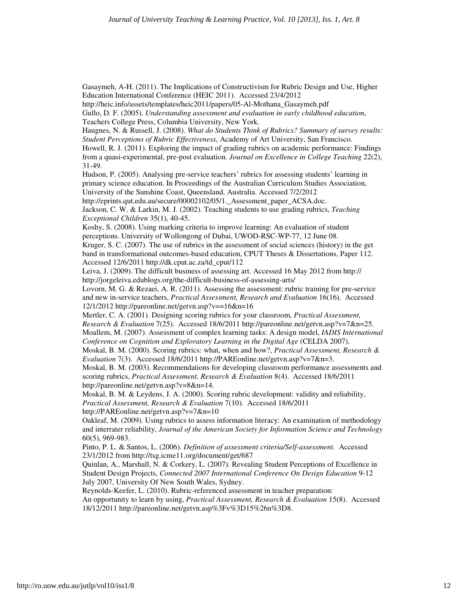Gasaymeh, A-H. (2011). The Implications of Constructivism for Rubric Design and Use, Higher Education International Conference (HEIC 2011). Accessed 23/4/2012

http://heic.info/assets/templates/heic2011/papers/05-Al-Mothana\_Gasaymeh.pdf

Gullo, D. F. (2005). *Understanding assessment and evaluation in early childhood education*, Teachers College Press, Columbia University, New York.

Haugnes, N. & Russell, J. (2008). *What do Students Think of Rubrics? Summary of survey results: Student Perceptions of Rubric Effectiveness*, Academy of Art University, San Francisco.

Howell, R. J. (2011). Exploring the impact of grading rubrics on academic performance: Findings from a quasi-experimental, pre-post evaluation. *Journal on Excellence in College Teaching* 22(2), 31-49.

Hudson, P. (2005). Analysing pre-service teachers' rubrics for assessing students' learning in primary science education. In Proceedings of the Australian Curriculum Studies Association, University of the Sunshine Coast, Queensland, Australia. Accessed 7/2/2012

http://eprints.qut.edu.au/secure/00002102/05/1.\_Assessment\_paper\_ACSA.doc.

Jackson, C. W. & Larkin, M. J. (2002). Teaching students to use grading rubrics, *Teaching Exceptional Children* 35(1), 40-45.

Koshy, S. (2008). Using marking criteria to improve learning: An evaluation of student perceptions. University of Wollongong of Dubai, UWOD-RSC-WP-77, 12 June 08.

Kruger, S. C. (2007). The use of rubrics in the assessment of social sciences (history) in the get band in transformational outcomes-based education, CPUT Theses & Dissertations, Paper 112. Accessed 12/6/2011 http://dk.cput.ac.za/td\_cput/112

Leiva, J. (2009). The difficult business of assessing art. Accessed 16 May 2012 from http:// http://jorgeleiva.edublogs.org/the-difficult-business-of-assessing-arts/

Lovorn, M. G. & Rezaei, A. R. (2011). Assessing the assessment: rubric training for pre-service and new in-service teachers, *Practical Assessment, Research and Evaluation* 16(16). Accessed 12/1/2012 http://pareonline.net/getvn.asp?v==16&n=16

Mertler, C. A. (2001). Designing scoring rubrics for your classroom, *Practical Assessment, Research & Evaluation* 7(25). Accessed 18/6/2011 http://pareonline.net/getvn.asp?v=7&n=25. Moallem, M. (2007). Assessment of complex learning tasks: A design model, *IADIS International Conference on Cognition and Exploratory Learning in the Digital Age* (CELDA 2007).

Moskal, B. M. (2000). Scoring rubrics: what, when and how?, *Practical Assessment, Research & Evaluation* 7(3). Accessed 18/6/2011 http://PAREonline.net/getvn.asp?v=7&n=3.

Moskal, B. M. (2003). Recommendations for developing classroom performance assessments and scoring rubrics, *Practical Assessment, Research & Evaluation* 8(4). Accessed 18/6/2011 http://pareonline.net/getvn.asp?v=8&n=14.

Moskal, B. M. & Leydens, J. A. (2000). Scoring rubric development: validity and reliability, *Practical Assessment, Research & Evaluation* 7(10). Accessed 18/6/2011 http://PAREonline.net/getvn.asp?v=7&n=10

Oakleaf, M. (2009). Using rubrics to assess information literacy: An examination of methodology and interrater reliability, *Journal of the American Society for Information Science and Technology*  60(5), 969-983.

Pinto, P. L. & Santos, L. (2006). *Definition of assessment criteria/Self-assessment*. Accessed 23/1/2012 from http://tsg.icme11.org/document/get/687

Quinlan, A., Marshall, N. & Corkery, L. (2007). Revealing Student Perceptions of Excellence in Student Design Projects, *Connected 2007 International Conference On Design Education* 9-12 July 2007, University Of New South Wales, Sydney.

Reynolds-Keefer, L. (2010). Rubric-referenced assessment in teacher preparation: An opportunity to learn by using, *Practical Assessment, Research & Evaluation* 15(8). Accessed 18/12/2011 http://pareonline.net/getvn.asp%3Fv%3D15%26n%3D8.